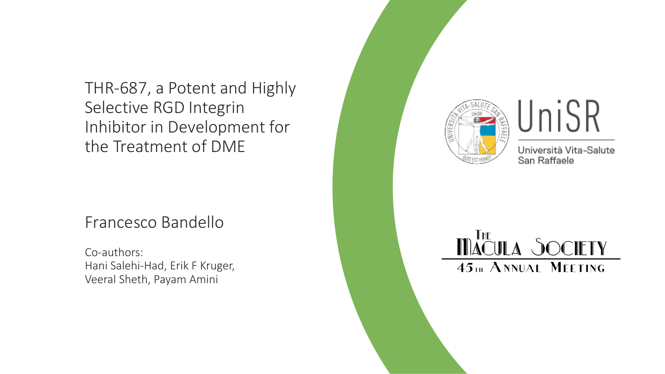THR-687, a Potent and Highly Selective RGD Integrin Inhibitor in Development for the Treatment of DME

#### Francesco Bandello

Co-authors: Hani Salehi-Had, Erik F Kruger, Veeral Sheth, Payam Amini





Università Vita-Salute San Raffaele

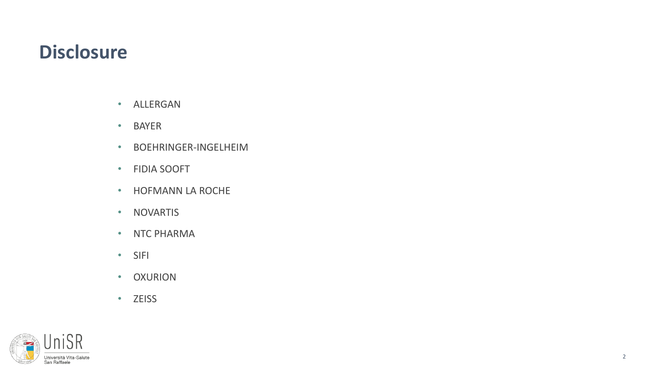### **Disclosure**

- ALLERGAN
- BAYER
- BOEHRINGER-INGELHEIM
- FIDIA SOOFT
- HOFMANN LA ROCHE
- NOVARTIS
- NTC PHARMA
- SIFI
- OXURION
- ZEISS

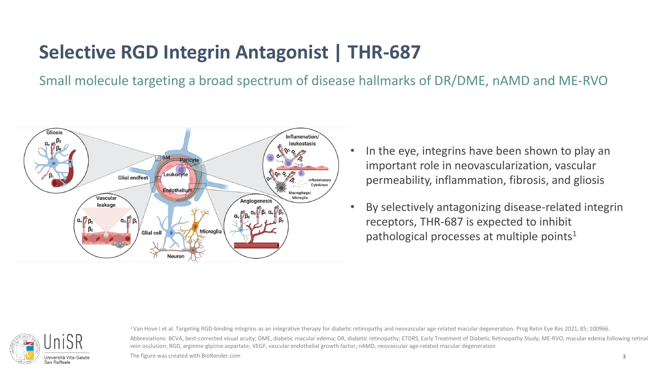# **Selective RGD Integrin Antagonist | THR-687**

Small molecule targeting a broad spectrum of disease hallmarks of DR/DME, nAMD and ME-RVO

vein occlusion; RGD, arginine-glycine-aspartate; VEGF, vascular endothelial growth factor; nAMD, neovascular age-related macular degeneration



- In the eye, integrins have been shown to play an important role in neovascularization, vascular permeability, inflammation, fibrosis, and gliosis
- By selectively antagonizing disease-related integrin receptors, THR-687 is expected to inhibit pathological processes at multiple points<sup>1</sup>



<sup>1</sup>Van Hove I et al. Targeting RGD-binding integrins as an integrative therapy for diabetic retinopathy and neovascular age-related macular degeneration. Prog Retin Eye Res 2021, 85: 100966. Abbreviations: BCVA, best-corrected visual acuity; DME, diabetic macular edema; DR, diabetic retinopathy; ETDRS, Early Treatment of Diabetic Retinopathy Study; ME-RVO, macular edema following retinal

The figure was created with BioRender.com 3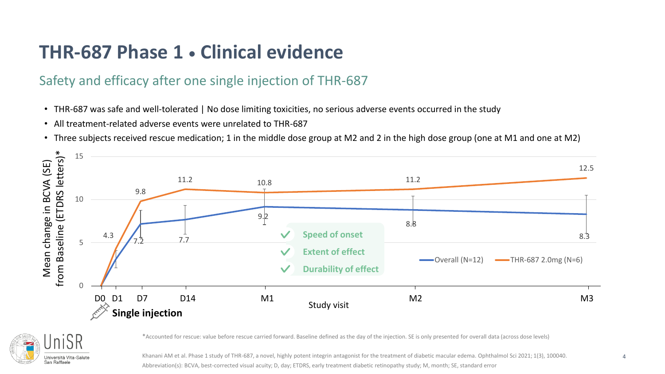## **THR-687 Phase 1 Clinical evidence**

#### Safety and efficacy after one single injection of THR-687

- THR-687 was safe and well-tolerated | No dose limiting toxicities, no serious adverse events occurred in the study
- All treatment-related adverse events were unrelated to THR-687
- Three subjects received rescue medication; 1 in the middle dose group at M2 and 2 in the high dose group (one at M1 and one at M2)





\*Accounted for rescue: value before rescue carried forward. Baseline defined as the day of the injection. SE is only presented for overall data (across dose levels)

Khanani AM et al. Phase 1 study of THR-687, a novel, highly potent integrin antagonist for the treatment of diabetic macular edema. Ophthalmol Sci 2021; 1(3), 100040. Abbreviation(s): BCVA, best-corrected visual acuity; D, day; ETDRS, early treatment diabetic retinopathy study; M, month; SE, standard error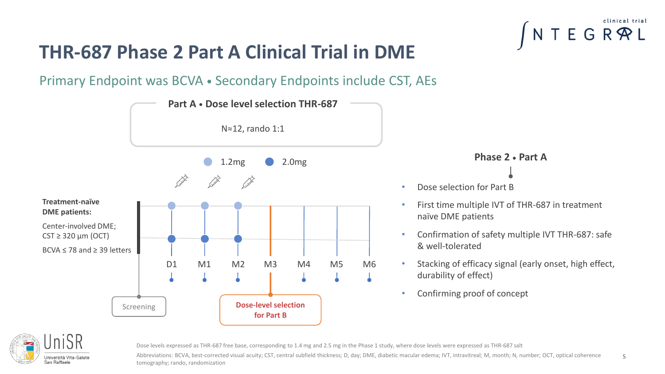#### D1 M1 M2 M3 M4 M5 M6 Screening **Dose-level selection for Part B** 1.2mg 2.0mg **Treatment-naïve DME patients:** Center-involved DME;  $CST \geq 320 \mu m (OCT)$ BCVA ≤ 78 and ≥ 39 letters **Part A** • Dose level selection THR-687 N≈12, rando 1:1



#### **THR-687 Phase 2 Part A Clinical Trial in DME**

Primary Endpoint was BCVA . Secondary Endpoints include CST, AEs

**Phase 2 Part A**

- Dose selection for Part B
- First time multiple IVT of THR-687 in treatment naïve DME patients
- Confirmation of safety multiple IVT THR-687: safe & well-tolerated
- Stacking of efficacy signal (early onset, high effect, durability of effect)
- Confirming proof of concept



Dose levels expressed as THR-687 free base, corresponding to 1.4 mg and 2.5 mg in the Phase 1 study, where dose levels were expressed as THR-687 salt

Abbreviations: BCVA, best-corrected visual acuity; CST, central subfield thickness; D, day; DME, diabetic macular edema; IVT, intravitreal; M, month; N, number; OCT, optical coherence tomography; rando, randomization 5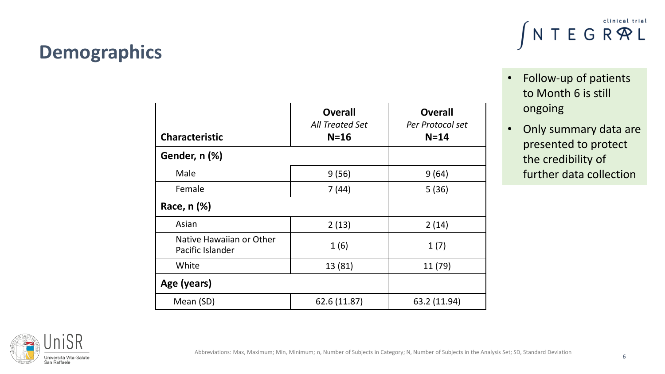

| Abbreviations: Max, Maximum; Min, Minimum; n, Number of Subjects in Category; N, Number of Subjects in the Analysis Set; SD, Standard Deviation |  |  |  |  |
|-------------------------------------------------------------------------------------------------------------------------------------------------|--|--|--|--|
|-------------------------------------------------------------------------------------------------------------------------------------------------|--|--|--|--|

|                                              | <b>Overall</b><br><b>All Treated Set</b> | <b>Overall</b><br>Per Protocol set |
|----------------------------------------------|------------------------------------------|------------------------------------|
| <b>Characteristic</b>                        | $N=16$                                   | $N = 14$                           |
| Gender, n (%)                                |                                          |                                    |
| Male                                         | 9(56)                                    | 9(64)                              |
| Female                                       | 7(44)                                    | 5(36)                              |
| Race, n (%)                                  |                                          |                                    |
| Asian                                        | 2(13)                                    | 2(14)                              |
| Native Hawaiian or Other<br>Pacific Islander | 1(6)                                     | 1(7)                               |
| White                                        | 13 (81)                                  | 11 (79)                            |
| Age (years)                                  |                                          |                                    |
| Mean (SD)                                    | 62.6 (11.87)                             | 63.2 (11.94)                       |

# **Demographics**

• Follow-up of patients to Month 6 is still ongoing

 $N T E G R \mathcal{R} L$ 

• Only summary data are presented to protect the credibility of further data collection

6

clinical trial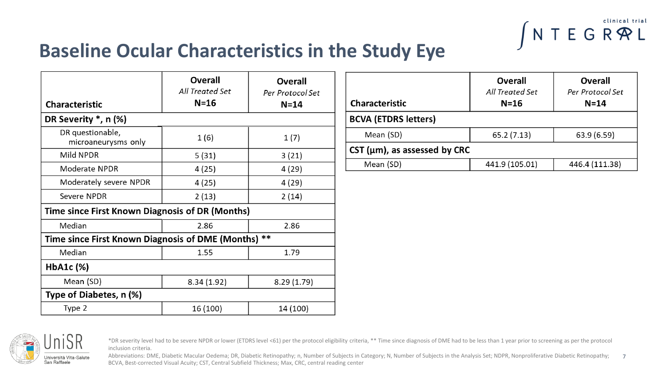

#### **Baseline Ocular Characteristics in the Study Eye**

| <b>Characteristic</b>                                            | <b>Overall</b><br>All Treated Set<br>$N = 16$ | <b>Overall</b><br>Per Protocol Set<br>$N = 14$ |  |  |
|------------------------------------------------------------------|-----------------------------------------------|------------------------------------------------|--|--|
| DR Severity $*$ , n $(\%)$                                       |                                               |                                                |  |  |
| DR questionable,<br>microaneurysms only                          | 1(6)                                          | 1(7)                                           |  |  |
| Mild NPDR                                                        | 5(31)                                         | 3(21)                                          |  |  |
| Moderate NPDR                                                    | 4 (25)                                        | 4 (29)                                         |  |  |
| Moderately severe NPDR                                           | 4(25)                                         | 4 (29)                                         |  |  |
| Severe NPDR                                                      | 2(13)                                         | 2(14)                                          |  |  |
| Time since First Known Diagnosis of DR (Months)                  |                                               |                                                |  |  |
| Median                                                           | 2.86                                          | 2.86                                           |  |  |
| $***$<br><b>Time since First Known Diagnosis of DME (Months)</b> |                                               |                                                |  |  |
| Median                                                           | 1.55                                          | 1.79                                           |  |  |
| $HbA1c$ $(\%)$                                                   |                                               |                                                |  |  |
| Mean (SD)                                                        | 8.34 (1.92)                                   | 8.29 (1.79)                                    |  |  |
| Type of Diabetes, n (%)                                          |                                               |                                                |  |  |
| Type 2                                                           | 16 (100)                                      | 14 (100)                                       |  |  |

| <b>Characteristic</b>              | <b>Overall</b><br>All Treated Set<br>$N=16$ | <b>Overall</b><br>Per Protocol Set<br>$N = 14$ |  |
|------------------------------------|---------------------------------------------|------------------------------------------------|--|
| <b>BCVA (ETDRS letters)</b>        |                                             |                                                |  |
| Mean (SD)                          | 65.2(7.13)                                  | 63.9 (6.59)                                    |  |
| CST ( $\mu$ m), as assessed by CRC |                                             |                                                |  |
| Mean (SD)                          | 441.9 (105.01)                              | 446.4 (111.38)                                 |  |



\*DR severity level had to be severe NPDR or lower (ETDRS level <61) per the protocol eligibility criteria, \*\* Time since diagnosis of DME had to be less than 1 year prior to screening as per the protocol inclusion criteria.

Abbreviations: DME, Diabetic Macular Oedema; DR, Diabetic Retinopathy; n, Number of Subjects in Category; N, Number of Subjects in the Analysis Set; NDPR, Nonproliferative Diabetic Retinopathy; BCVA, Best-corrected Visual Acuity; CST, Central Subfield Thickness; Max, CRC, central reading center 7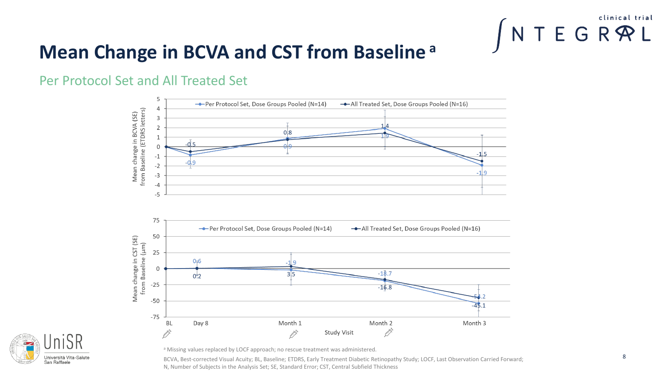

## **Mean Change in BCVA and CST from Baseline <sup>a</sup>**

#### Per Protocol Set and All Treated Set





a Missing values replaced by LOCF approach; no rescue treatment was administered.

BCVA, Best-corrected Visual Acuity; BL, Baseline; ETDRS, Early Treatment Diabetic Retinopathy Study; LOCF, Last Observation Carried Forward; N, Number of Subjects in the Analysis Set; SE, Standard Error; CST, Central Subfield Thickness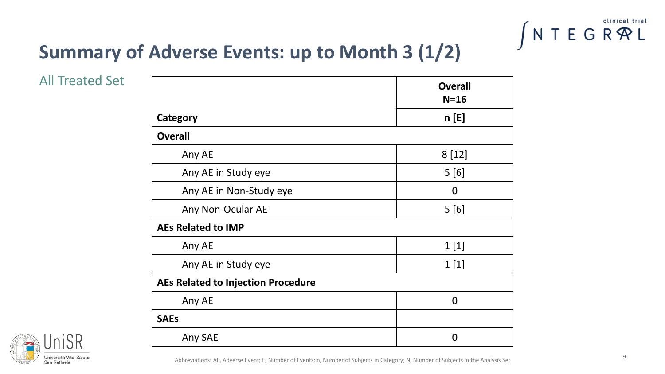

# **Summary of Adverse Events: up to Month 3 (1/2)**

All Treated Set

|                                           | <b>Overall</b><br>$N=16$ |
|-------------------------------------------|--------------------------|
| Category                                  | n[E]                     |
| <b>Overall</b>                            |                          |
| Any AE                                    | 8[12]                    |
| Any AE in Study eye                       | 5[6]                     |
| Any AE in Non-Study eye                   | 0                        |
| Any Non-Ocular AE                         | 5[6]                     |
| <b>AEs Related to IMP</b>                 |                          |
| Any AE                                    | 1[1]                     |
| Any AE in Study eye                       | 1[1]                     |
| <b>AEs Related to Injection Procedure</b> |                          |
| Any AE                                    | $\Omega$                 |
| <b>SAEs</b>                               |                          |
| Any SAE                                   | $\overline{0}$           |



Abbreviations: AE, Adverse Event; E, Number of Events; n, Number of Subjects in Category; N, Number of Subjects in the Analysis Set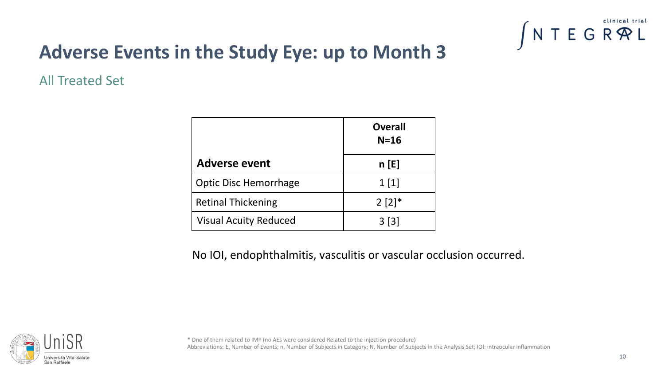

# **Adverse Events in the Study Eye: up to Month 3**

All Treated Set

|                              | <b>Overall</b><br>$N=16$ |
|------------------------------|--------------------------|
| <b>Adverse event</b>         | n[E]                     |
| <b>Optic Disc Hemorrhage</b> | 1[1]                     |
| <b>Retinal Thickening</b>    | $2 [2]$ <sup>*</sup>     |
| <b>Visual Acuity Reduced</b> | 3[3]                     |

No IOI, endophthalmitis, vasculitis or vascular occlusion occurred.



\* One of them related to IMP (no AEs were considered Related to the injection procedure) Abbreviations: E, Number of Events; n, Number of Subjects in Category; N, Number of Subjects in the Analysis Set; IOI: intraocular inflammation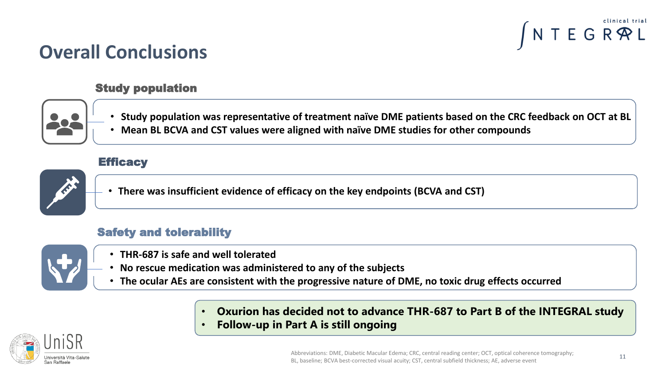

### **Overall Conclusions**

#### Study population



- **Study population was representative of treatment naïve DME patients based on the CRC feedback on OCT at BL**
- **Mean BL BCVA and CST values were aligned with naïve DME studies for other compounds**

#### **Efficacy**



• **There was insufficient evidence of efficacy on the key endpoints (BCVA and CST)**

#### Safety and tolerability



- **THR-687 is safe and well tolerated**
- **No rescue medication was administered to any of the subjects**
- **The ocular AEs are consistent with the progressive nature of DME, no toxic drug effects occurred**
	- **Oxurion has decided not to advance THR-687 to Part B of the INTEGRAL study**
	- **Follow-up in Part A is still ongoing**